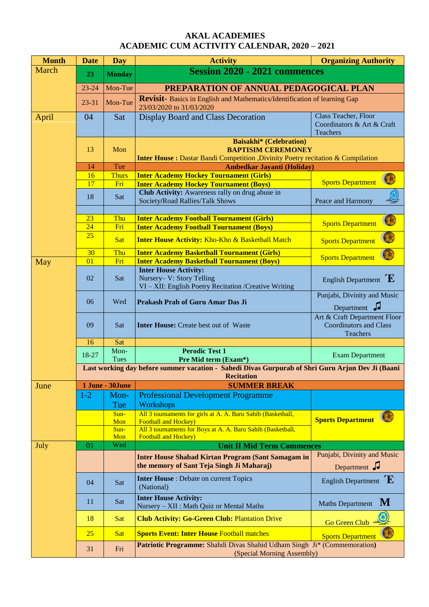## **AKAL ACADEMIES ACADEMIC CUM ACTIVITY CALENDAR, 2020 – 2021**

| <b>Month</b> | <b>Date</b>                                                                                                           | <b>Day</b>       | <b>Activity</b>                                                                                                                                        | <b>Organizing Authority</b>                                               |  |
|--------------|-----------------------------------------------------------------------------------------------------------------------|------------------|--------------------------------------------------------------------------------------------------------------------------------------------------------|---------------------------------------------------------------------------|--|
| <b>March</b> | 23                                                                                                                    | <b>Monday</b>    | <b>Session 2020 - 2021 commences</b>                                                                                                                   |                                                                           |  |
|              | $23 - 24$                                                                                                             | Mon-Tue          | PREPARATION OF ANNUAL PEDAGOGICAL PLAN                                                                                                                 |                                                                           |  |
|              | $23 - 31$                                                                                                             | Mon-Tue          | <b>Revisit-</b> Basics in English and Mathematics/Identification of learning Gap<br>23/03/2020 to 31/03/2020                                           |                                                                           |  |
| April        | 04                                                                                                                    | Sat              | <b>Display Board and Class Decoration</b>                                                                                                              | Class Teacher, Floor<br>Coordinators & Art & Craft<br>Teachers            |  |
|              | 13                                                                                                                    | Mon              | <b>Baisakhi*</b> (Celebration)<br><b>BAPTISIM CEREMONEY</b><br><b>Inter House:</b> Dastar Bandi Competition , Divinity Poetry recitation & Compilation |                                                                           |  |
|              | 14                                                                                                                    | Tue              | <b>Ambedkar Jayanti (Holiday)</b>                                                                                                                      |                                                                           |  |
|              | 16                                                                                                                    | <b>Thurs</b>     | <b>Inter Academy Hockey Tournament (Girls)</b>                                                                                                         | $\bigcirc$                                                                |  |
|              | 17                                                                                                                    | Fri              | <b>Inter Academy Hockey Tournament (Boys)</b>                                                                                                          | <b>Sports Department</b>                                                  |  |
|              | 18                                                                                                                    | Sat              | Club Activity: Awareness rally on drug abuse in<br>Society/Road Rallies/Talk Shows                                                                     | Peace and Harmony                                                         |  |
|              | 23                                                                                                                    | Thu              | <b>Inter Academy Football Tournament (Girls)</b>                                                                                                       | $\bigcirc$                                                                |  |
|              | 24                                                                                                                    | Fri              | <b>Inter Academy Football Tournament (Boys)</b>                                                                                                        | <b>Sports Department</b>                                                  |  |
|              | 25                                                                                                                    | <b>Sat</b>       | <b>Inter House Activity: Kho-Kho &amp; Basketball Match</b>                                                                                            | <b>Sports Department</b>                                                  |  |
|              | 30                                                                                                                    | Thu              | <b>Inter Academy Basketball Tournament (Girls)</b>                                                                                                     | <b>Sports Department</b>                                                  |  |
| May          | 01                                                                                                                    | Fri              | <b>Inter Academy Basketball Tournament (Boys)</b>                                                                                                      |                                                                           |  |
|              | 02                                                                                                                    | Sat              | <b>Inter House Activity:</b><br>Nursery- V: Story Telling<br>VI - XII: English Poetry Recitation /Creative Writing                                     | English Department $E$                                                    |  |
|              | 06                                                                                                                    | Wed              | Prakash Prab of Guru Amar Das Ji                                                                                                                       | Punjabi, Divinity and Music<br>Department J                               |  |
|              | 09                                                                                                                    | Sat              | <b>Inter House:</b> Create best out of Waste                                                                                                           | Art & Craft Department Floor<br><b>Coordinators and Class</b><br>Teachers |  |
|              | 16                                                                                                                    | Sat              |                                                                                                                                                        |                                                                           |  |
|              | 18-27                                                                                                                 | Mon-<br>Tues     | <b>Perodic Test 1</b><br>Pre Mid term (Exam*)                                                                                                          | <b>Exam Department</b>                                                    |  |
|              |                                                                                                                       |                  |                                                                                                                                                        |                                                                           |  |
|              | Last working day before summer vacation - Sahedi Divas Gurpurab of Shri Guru Arjun Dev Ji (Baani<br><b>Recitation</b> |                  |                                                                                                                                                        |                                                                           |  |
| June         |                                                                                                                       | 1 June - 30 June | <b>SUMMER BREAK</b>                                                                                                                                    |                                                                           |  |
|              | $1 - 2$                                                                                                               | Mon-<br>Tue      | <b>Professional Development Programme</b><br>Workshops                                                                                                 |                                                                           |  |
|              |                                                                                                                       | Sun-<br>Mon      | All 3 tournaments for girls at A. A. Baru Sahib (Basketball,<br><b>Football and Hockey)</b>                                                            | <b>Sports Department</b>                                                  |  |
|              |                                                                                                                       | Sun-<br>Mon      | All 3 tournaments for Boys at A. A. Baru Sahib (Basketball,<br><b>Football and Hockey)</b>                                                             |                                                                           |  |
| July         | 01                                                                                                                    | Wed              | <b>Unit II Mid Term Commences</b>                                                                                                                      |                                                                           |  |
|              |                                                                                                                       |                  | <b>Inter House Shabad Kirtan Program (Sant Samagam in</b><br>the memory of Sant Teja Singh Ji Maharaj)                                                 | Punjabi, Divinity and Music<br>Department J                               |  |
|              | 04                                                                                                                    | Sat              | <b>Inter House</b> : Debate on current Topics<br>(National)                                                                                            | English Department $E$                                                    |  |
|              | 11                                                                                                                    | Sat              | <b>Inter House Activity:</b><br>Nursery - XII : Math Quiz or Mental Maths                                                                              | <b>M</b><br><b>Maths Department</b>                                       |  |
|              | 18                                                                                                                    | Sat              | <b>Club Activity: Go-Green Club: Plantation Drive</b>                                                                                                  | Go Green Club                                                             |  |
|              | 25                                                                                                                    | <b>Sat</b>       | <b>Sports Event: Inter House Football matches</b>                                                                                                      | <b>Sports Department</b>                                                  |  |
|              | 31                                                                                                                    | Fri              | Patriotic Programme: Shahdi Divas Shahid Udham Singh Ji* (Commemoration)<br>(Special Morning Assembly)                                                 |                                                                           |  |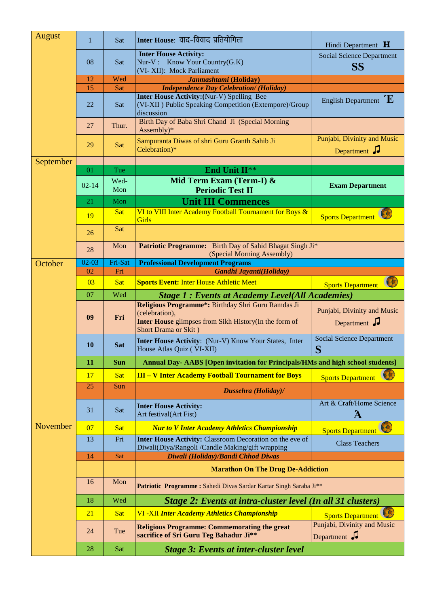| August    | $\mathbf{1}$ | Sat         | Inter House: वाद-विवाद प्रतियोगिता                                                                                                                    | Hindi Department H                            |  |
|-----------|--------------|-------------|-------------------------------------------------------------------------------------------------------------------------------------------------------|-----------------------------------------------|--|
|           | 08           | Sat         | <b>Inter House Activity:</b><br>Nur-V: Know Your Country(G.K)                                                                                         | <b>Social Science Department</b><br><b>SS</b> |  |
|           | 12           | Wed         | (VI-XII): Mock Parliament<br>Janmashtami (Holiday)                                                                                                    |                                               |  |
|           | 15           | Sat         | <b>Independence Day Celebration/ (Holiday)</b>                                                                                                        |                                               |  |
|           | 22           | Sat         | <b>Inter House Activity:</b> (Nur-V) Spelling Bee<br>(VI-XII) Public Speaking Competition (Extempore)/Group<br>discussion                             | English Department $E$                        |  |
|           | 27           | Thur.       | Birth Day of Baba Shri Chand Ji (Special Morning<br>Assembly)*                                                                                        |                                               |  |
|           | 29           | Sat         | Sampuranta Diwas of shri Guru Granth Sahib Ji<br>Celebration)*                                                                                        | Punjabi, Divinity and Music<br>Department J   |  |
| September |              |             |                                                                                                                                                       |                                               |  |
|           | 01           | Tue         | End Unit II**                                                                                                                                         |                                               |  |
|           | $02 - 14$    | Wed-<br>Mon | Mid Term Exam (Term-I) &<br><b>Periodic Test II</b>                                                                                                   | <b>Exam Department</b>                        |  |
|           | 21           | Mon         | <b>Unit III Commences</b>                                                                                                                             |                                               |  |
|           | 19           | Sat         | VI to VIII Inter Academy Football Tournament for Boys &<br><b>Girls</b>                                                                               | Sports Department                             |  |
|           | 26           | Sat         |                                                                                                                                                       |                                               |  |
|           | 28           | Mon         | Patriotic Programme: Birth Day of Sahid Bhagat Singh Ji*<br>(Special Morning Assembly)                                                                |                                               |  |
| October   | $02 - 03$    | Fri-Sat     | <b>Professional Development Programs</b>                                                                                                              |                                               |  |
|           | 02           | Fri         | Gandhi Jayanti(Holiday)                                                                                                                               |                                               |  |
|           | 03           | <b>Sat</b>  | <b>Sports Event: Inter House Athletic Meet</b>                                                                                                        | $\bullet$<br><b>Sports Department</b>         |  |
|           | 07           | Wed         | <b>Stage 1: Events at Academy Level(All Academies)</b>                                                                                                |                                               |  |
|           | 09           | Fri         | Religious Programme*: Birthday Shri Guru Ramdas Ji<br>(celebration),<br>Inter House glimpses from Sikh History(In the form of<br>Short Drama or Skit) | Punjabi, Divinity and Music<br>Department J   |  |
|           | <b>10</b>    | <b>Sat</b>  | Inter House Activity: (Nur-V) Know Your States, Inter<br>House Atlas Quiz (VI-XII)                                                                    | <b>Social Science Department</b><br>S         |  |
|           | 11           | <b>Sun</b>  | <b>Annual Day- AABS [Open invitation for Principals/HMs and high school students]</b>                                                                 |                                               |  |
|           | 17           | <b>Sat</b>  | <b>III - V Inter Academy Football Tournament for Boys</b>                                                                                             | <b>Sports Department</b>                      |  |
|           | 25           | Sun         | Dussehra (Holiday)/                                                                                                                                   |                                               |  |
|           | 31           | Sat         | <b>Inter House Activity:</b><br>Art festival(Art Fist)                                                                                                | Art & Craft/Home Science<br>Ά                 |  |
| November  | 07           | <b>Sat</b>  | <b>Nur to V Inter Academy Athletics Championship</b>                                                                                                  | Sports Department                             |  |
|           | 13           | Fri         | Inter House Activity: Classroom Decoration on the eve of<br>Diwali(Diya/Rangoli /Candle Making/gift wrapping                                          | <b>Class Teachers</b>                         |  |
|           | 14           | Sat         | Diwali (Holiday)/Bandi Chhod Diwas                                                                                                                    |                                               |  |
|           |              |             | <b>Marathon On The Drug De-Addiction</b>                                                                                                              |                                               |  |
|           | 16           | Mon         | Patriotic Programme : Sahedi Divas Sardar Kartar Singh Saraba Ji**                                                                                    |                                               |  |
|           | 18           | Wed         | Stage 2: Events at intra-cluster level (In all 31 clusters)                                                                                           |                                               |  |
|           | 21           | Sat         | <b>VI-XII Inter Academy Athletics Championship</b>                                                                                                    | <b>Sports Department</b>                      |  |
|           | 24           | Tue         | <b>Religious Programme: Commemorating the great</b><br>sacrifice of Sri Guru Teg Bahadur Ji**                                                         | Punjabi, Divinity and Music<br>Department J   |  |
|           | 28           | Sat         | <b>Stage 3: Events at inter-cluster level</b>                                                                                                         |                                               |  |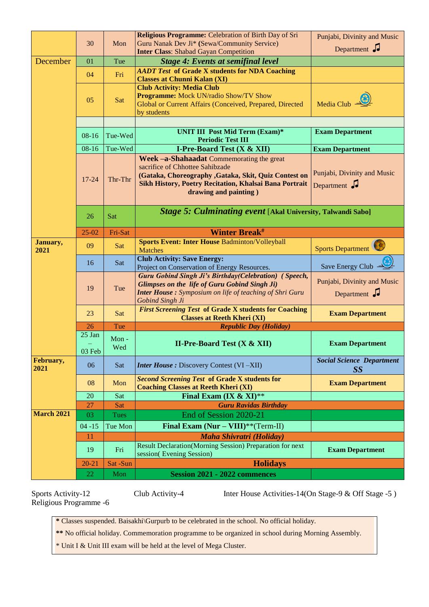|                   |                    |             | <b>Inter Class: Shabad Gayan Competition</b>                                                                                                                                                                             | Department J                                                   |
|-------------------|--------------------|-------------|--------------------------------------------------------------------------------------------------------------------------------------------------------------------------------------------------------------------------|----------------------------------------------------------------|
| December          | 01                 | Tue         | <b>Stage 4: Events at semifinal level</b>                                                                                                                                                                                |                                                                |
|                   | 04                 | Fri         | <b>AADT Test of Grade X students for NDA Coaching</b><br><b>Classes at Chunni Kalan (XI)</b>                                                                                                                             |                                                                |
|                   | 05                 | Sat         | <b>Club Activity: Media Club</b><br><b>Programme:</b> Mock UN/radio Show/TV Show<br>Global or Current Affairs (Conceived, Prepared, Directed<br>by students                                                              | Media Club $\frac{d}{d\mathbf{r}}$                             |
|                   | 08-16              | Tue-Wed     | <b>UNIT III Post Mid Term (Exam)*</b><br><b>Periodic Test III</b>                                                                                                                                                        | <b>Exam Department</b>                                         |
|                   | $08 - 16$          | Tue-Wed     | <b>I-Pre-Board Test (X &amp; XII)</b>                                                                                                                                                                                    |                                                                |
|                   |                    |             |                                                                                                                                                                                                                          | <b>Exam Department</b>                                         |
|                   | $17 - 24$          | Thr-Thr     | Week -a-Shahaadat Commemorating the great<br>sacrifice of Chhottee Sahibzade<br>(Gataka, Choreography , Gataka, Skit, Quiz Contest on<br>Sikh History, Poetry Recitation, Khalsai Bana Portrait<br>drawing and painting) | Punjabi, Divinity and Music<br>Department $\sqrt{\phantom{a}}$ |
|                   | 26                 | Sat         | Stage 5: Culminating event [Akal University, Talwandi Sabo]                                                                                                                                                              |                                                                |
|                   | $25 - 02$          | Fri-Sat     | <b>Winter Break#</b>                                                                                                                                                                                                     |                                                                |
| January,<br>2021  | 09                 | Sat         | <b>Sports Event: Inter House Badminton/Volleyball</b><br><b>Matches</b>                                                                                                                                                  | Sports Department                                              |
|                   | 16                 | Sat         | <b>Club Activity: Save Energy:</b><br>Project on Conservation of Energy Resources.                                                                                                                                       | Save Energy Club -                                             |
|                   | 19                 | Tue         | <b>Guru Gobind Singh Ji's Birthday(Celebration)</b> (Speech,<br>Glimpses on the life of Guru Gobind Singh Ji)<br><b>Inter House:</b> Symposium on life of teaching of Shri Guru<br>Gobind Singh Ji                       | Punjabi, Divinity and Music<br>Department $\sqrt{\phantom{a}}$ |
|                   | 23                 | Sat         | <b>First Screening Test of Grade X students for Coaching</b><br><b>Classes at Reeth Kheri (XI)</b>                                                                                                                       | <b>Exam Department</b>                                         |
|                   |                    |             |                                                                                                                                                                                                                          |                                                                |
|                   | 26                 | Tue         |                                                                                                                                                                                                                          |                                                                |
|                   | $25$ Jan<br>03 Feb | Mon-<br>Wed | <b>Republic Day (Holiday)</b><br>II-Pre-Board Test $(X & XII)$                                                                                                                                                           | <b>Exam Department</b>                                         |
| February,<br>2021 | 06                 | Sat         | <b>Inter House:</b> Discovery Contest (VI-XII)                                                                                                                                                                           | <b>Social Science Department</b>                               |
|                   | 08                 | Mon         | <b>Second Screening Test of Grade X students for</b><br><b>Coaching Classes at Reeth Kheri (XI)</b>                                                                                                                      | SS<br><b>Exam Department</b>                                   |
|                   | 20                 | Sat         | Final Exam (IX & XI)**                                                                                                                                                                                                   |                                                                |
|                   | 27                 | Sat         | <b>Guru Ravidas Birthday</b>                                                                                                                                                                                             |                                                                |
| <b>March 2021</b> | 03                 | <b>Tues</b> | End of Session 2020-21                                                                                                                                                                                                   |                                                                |
|                   |                    |             |                                                                                                                                                                                                                          |                                                                |
|                   | $04 - 15$          | Tue Mon     | Final Exam $(Nur - VIII)**(Term-II)$                                                                                                                                                                                     |                                                                |
|                   | 11<br>19           | Fri         | <b>Maha Shivratri (Holiday)</b><br>Result Declaration(Morning Session) Preparation for next<br>session(Evening Session)                                                                                                  | <b>Exam Department</b>                                         |
|                   | $20 - 21$          | Sat-Sun     | <b>Holidays</b>                                                                                                                                                                                                          |                                                                |

Religious Programme -6

Sports Activity-12 Club Activity-4 Inter House Activities-14(On Stage-9 & Off Stage -5)

**\*** Classes suspended. Baisakhi\Gurpurb to be celebrated in the school. No official holiday.

**\*\*** No official holiday. Commemoration programme to be organized in school during Morning Assembly.

\* Unit I & Unit III exam will be held at the level of Mega Cluster.